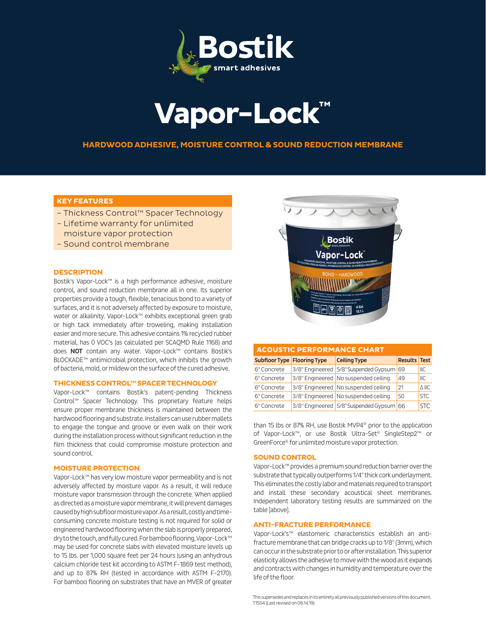

# **Vapor-Lock™**

## **HARDWOOD ADHESIVE, MOISTURE CONTROL & SOUND REDUCTION MEMBRANE**

## **KEY FEATURES**

- Thickness Control™ Spacer Technology
- Lifetime warranty for unlimited
- moisture vapor protection
- Sound control membrane

## **DESCRIPTION**

Bostik's Vapor-Lock™ is a high performance adhesive, moisture control, and sound reduction membrane all in one. Its superior properties provide a tough, flexible, tenacious bond to a variety of surfaces, and it is not adversely affected by exposure to moisture, water or alkalinity. Vapor-Lock™ exhibits exceptional green grab or high tack immediately after troweling, making installation easier and more secure. This adhesive contains 1% recycled rubber material, has 0 VOC's (as calculated per SCAQMD Rule 1168) and does NOT contain any water. Vapor-Lock™ contains Bostik's BLOCKADE™ antimicrobial protection, which inhibits the growth of bacteria, mold, or mildew on the surface of the cured adhesive.

## **THICKNESS CONTROL™ SPACER TECHNOLOGY**

Vapor-Lock™ contains Bostik's patent-pending Thickness Control™ Spacer Technology. This proprietary feature helps ensure proper membrane thickness is maintained between the hardwood flooring and substrate. Installers can use rubber mallets to engage the tongue and groove or even walk on their work during the installation process without significant reduction in the film thickness that could compromise moisture protection and sound control.

### **MOISTURE PROTECTION**

Vapor-Lock™ has very low moisture vapor permeability and is not adversely affected by moisture vapor. As a result, it will reduce moisture vapor transmission through the concrete. When applied as directed as a moisture vapor membrane, it will prevent damages caused by high subfloor moisture vapor. As a result, costly and timeconsuming concrete moisture testing is not required for solid or engineered hardwood flooring when the slab is properly prepared, dry to the touch, and fully cured. For bamboo flooring, Vapor-Lock™ may be used for concrete slabs with elevated moisture levels up to 15 lbs. per 1,000 square feet per 24 hours (using an anhydrous calcium chloride test kit according to ASTM F-1869 test method), and up to 87% RH (tested in accordance with ASTM F-2170). For bamboo flooring on substrates that have an MVER of greater



| <b>ACOUSTIC PERFORMANCE CHART</b>  |  |                                          |                     |              |  |  |  |  |
|------------------------------------|--|------------------------------------------|---------------------|--------------|--|--|--|--|
| <b>Subfloor Type Flooring Type</b> |  | <b>Ceiling Type</b>                      | <b>Results Test</b> |              |  |  |  |  |
| 6" Concrete                        |  | 3/8" Engineered 5/8" Suspended Gypsum 69 |                     | ILC          |  |  |  |  |
| 6" Concrete                        |  | 3/8" Engineered No suspended ceiling     | 49                  | ILC          |  |  |  |  |
| 6" Concrete                        |  | 3/8" Engineered No suspended ceiling     | 21                  | $\wedge$ IIC |  |  |  |  |
| 6" Concrete                        |  | 3/8" Engineered No suspended ceiling     | 50                  | <b>STC</b>   |  |  |  |  |
| 6" Concrete                        |  | 3/8" Engineered 5/8" Suspended Gypsum 66 |                     | STC.         |  |  |  |  |

than 15 lbs or 87% RH, use Bostik MVP4® prior to the application of Vapor-Lock™, or use Bostik Ultra-Set® SingleStep2™ or GreenForce® for unlimited moisture vapor protection.

## **SOUND CONTROL**

Vapor-Lock™ provides a premium sound reduction barrier over the substrate that typically outperforms 1/4" thick cork underlayment. This eliminates the costly labor and materials required to transport and install these secondary acoustical sheet membranes. Independent laboratory testing results are summarized on the table [above].

#### **ANTI-FRACTURE PERFORMANCE**

Vapor-Lock's™ elastomeric characteristics establish an antifracture membrane that can bridge cracks up to 1/8" (3mm), which can occur in the substrate prior to or after installation. This superior elasticity allows the adhesive to move with the wood as it expands and contracts with changes in humidity and temperature over the life of the floor.

This supersedes and replaces in its entirety all previously published versions of this document. T1504 (Last revised on 06.14.19)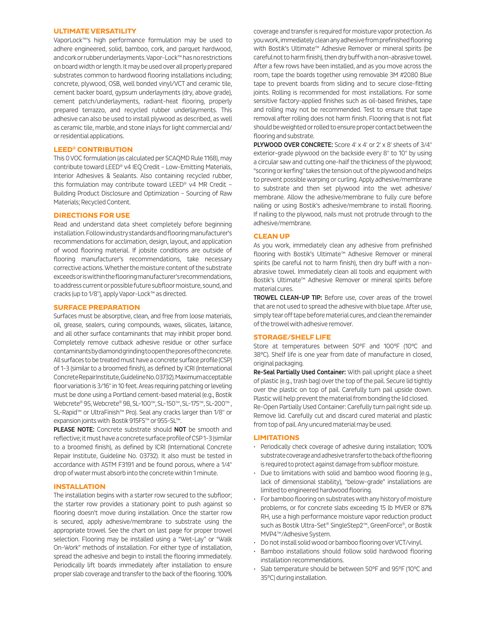## **ULTIMATE VERSATILITY**

VaporLock™'s high performance formulation may be used to adhere engineered, solid, bamboo, cork, and parquet hardwood, and cork or rubber underlayments. Vapor-Lock™ has no restrictions on board width or length. It may be used over all properly prepared substrates common to hardwood flooring installations including; concrete, plywood, OSB, well bonded vinyl/VCT and ceramic tile, cement backer board, gypsum underlayments (dry, above grade), cement patch/underlayments, radiant-heat flooring, properly prepared terrazzo, and recycled rubber underlayments. This adhesive can also be used to install plywood as described, as well as ceramic tile, marble, and stone inlays for light commercial and/ or residential applications.

## **LEED® CONTRIBUTION**

This 0 VOC formulation (as calculated per SCAQMD Rule 1168), may contribute toward LEED® v4 IEQ Credit – Low-Emitting Materials, Interior Adhesives & Sealants. Also containing recycled rubber, this formulation may contribute toward LEED® v4 MR Credit – Building Product Disclosure and Optimization – Sourcing of Raw Materials; Recycled Content.

## **DIRECTIONS FOR USE**

Read and understand data sheet completely before beginning installation. Follow industry standards and flooring manufacturer's recommendations for acclimation, design, layout, and application of wood flooring material. If jobsite conditions are outside of flooring manufacturer's recommendations, take necessary corrective actions. Whether the moisture content of the substrate exceeds or is within the flooring manufacturer's recommendations, to address current or possible future subfloor moisture, sound, and cracks (up to 1/8"), apply Vapor-Lock™ as directed.

#### **SURFACE PREPARATION**

Surfaces must be absorptive, clean, and free from loose materials, oil, grease, sealers, curing compounds, waxes, silicates, laitance, and all other surface contaminants that may inhibit proper bond. Completely remove cutback adhesive residue or other surface contaminants by diamond grinding to open the pores of the concrete. All surfaces to be treated must have a concrete surface profile (CSP) of 1-3 (similar to a broomed finish), as defined by ICRI (International Concrete Repair Institute, Guideline No. 03732). Maximum acceptable floor variation is 3/16" in 10 feet. Areas requiring patching or leveling must be done using a Portland cement-based material (e.g., Bostik Webcrete® 95, Webcrete® 98, SL-100™, SL-150™, SL-175™, SL-200™ , SL-Rapid™ or UltraFinish™ Pro). Seal any cracks larger than 1/8" or expansion joints with Bostik 915FS™ or 955-SL™.

PLEASE NOTE: Concrete substrate should NOT be smooth and reflective; it must have a concrete surface profile of CSP 1-3 (similar to a broomed finish), as defined by ICRI (International Concrete Repair Institute, Guideline No. 03732). It also must be tested in accordance with ASTM F3191 and be found porous, where a 1/4" drop of water must absorb into the concrete within 1 minute.

## **INSTALLATION**

The installation begins with a starter row secured to the subfloor; the starter row provides a stationary point to push against so flooring doesn't move during installation. Once the starter row is secured, apply adhesive/membrane to substrate using the appropriate trowel. See the chart on last page for proper trowel selection. Flooring may be installed using a "Wet-Lay" or "Walk On-Work" methods of installation. For either type of installation, spread the adhesive and begin to install the flooring immediately. Periodically lift boards immediately after installation to ensure proper slab coverage and transfer to the back of the flooring. 100%

coverage and transfer is required for moisture vapor protection. As you work, immediately clean any adhesive from prefinished flooring with Bostik's Ultimate™ Adhesive Remover or mineral spirits (be careful not to harm finish), then dry buff with a non-abrasive towel. After a few rows have been installed, and as you move across the room, tape the boards together using removable 3M #2080 Blue tape to prevent boards from sliding and to secure close-fitting joints. Rolling is recommended for most installations. For some sensitive factory-applied finishes such as oil-based finishes, tape and rolling may not be recommended. Test to ensure that tape removal after rolling does not harm finish. Flooring that is not flat should be weighted or rolled to ensure proper contact between the flooring and substrate.

PLYWOOD OVER CONCRETE: Score 4' x 4' or 2' x 8' sheets of 3/4" exterior-grade plywood on the backside every 8" to 10" by using a circular saw and cutting one-half the thickness of the plywood; "scoring or kerfing" takes the tension out of the plywood and helps to prevent possible warping or curling. Apply adhesive/membrane to substrate and then set plywood into the wet adhesive/ membrane. Allow the adhesive/membrane to fully cure before nailing or using Bostik's adhesive/membrane to install flooring. If nailing to the plywood, nails must not protrude through to the adhesive/membrane.

## **CLEAN UP**

As you work, immediately clean any adhesive from prefinished flooring with Bostik's Ultimate™ Adhesive Remover or mineral spirits (be careful not to harm finish), then dry buff with a nonabrasive towel. Immediately clean all tools and equipment with Bostik's Ultimate™ Adhesive Remover or mineral spirits before material cures.

TROWEL CLEAN-UP TIP: Before use, cover areas of the trowel that are not used to spread the adhesive with blue tape. After use, simply tear off tape before material cures, and clean the remainder of the trowel with adhesive remover.

#### **STORAGE/SHELF LIFE**

Store at temperatures between 50°F and 100°F (10°C and 38°C). Shelf life is one year from date of manufacture in closed, original packaging.

Re-Seal Partially Used Container: With pail upright place a sheet of plastic (e.g., trash bag) over the top of the pail. Secure lid tightly over the plastic on top of pail. Carefully turn pail upside down. Plastic will help prevent the material from bonding the lid closed. Re-Open Partially Used Container: Carefully turn pail right side up. Remove lid. Carefully cut and discard cured material and plastic from top of pail. Any uncured material may be used.

#### **LIMITATIONS**

- Periodically check coverage of adhesive during installation; 100% substrate coverage and adhesive transfer to the back of the flooring is required to protect against damage from subfloor moisture.
- Due to limitations with solid and bamboo wood flooring (e.g., lack of dimensional stability), "below-grade" installations are limited to engineered hardwood flooring.
- For bamboo flooring on substrates with any history of moisture problems, or for concrete slabs exceeding 15 lb MVER or 87% RH, use a high performance moisture vapor reduction product such as Bostik Ultra-Set® SingleStep2™, GreenForce®, or Bostik MVP4™/Adhesive System.
- Do not install solid wood or bamboo flooring over VCT/vinyl.
- Bamboo installations should follow solid hardwood flooring installation recommendations.
- Slab temperature should be between 50°F and 95°F (10°C and 35°C) during installation.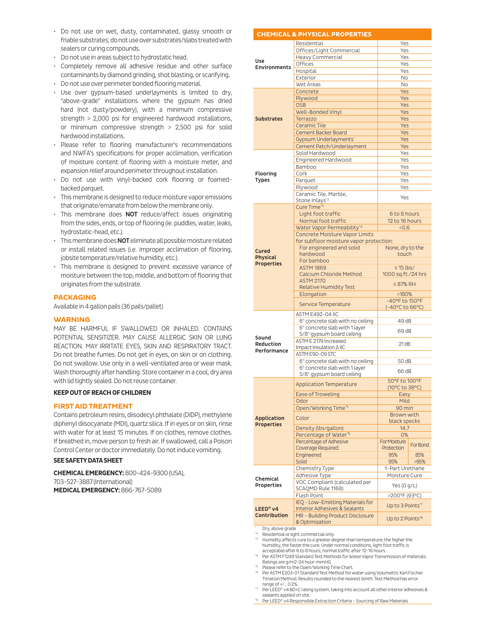- Do not use on wet, dusty, contaminated, glassy smooth or friable substrates; do not use over substrates/slabs treated with sealers or curing compounds.
- Do not use in areas subject to hydrostatic head.
- Completely remove all adhesive residue and other surface contaminants by diamond grinding, shot blasting, or scarifying.
- Do not use over perimeter bonded flooring material.
- Use over gypsum-based underlayments is limited to dry, "above-grade" installations where the gypsum has dried hard (not dusty/powdery), with a minimum compressive strength > 2,000 psi for engineered hardwood installations, or minimum compressive strength > 2,500 psi for solid hardwood installations.
- Please refer to flooring manufacturer's recommendations and NWFA's specifications for proper acclimation, verification of moisture content of flooring with a moisture meter, and expansion relief around perimeter throughout installation.
- Do not use with vinyl-backed cork flooring or foamedbacked parquet.
- This membrane is designed to reduce moisture vapor emissions that originate/emanate from below the membrane only.
- This membrane does NOT reduce/affect issues originating from the sides, ends, or top of flooring (ie. puddles, water, leaks, hydrostatic-head, etc.).
- This membrane does NOT eliminate all possible moisture related or install related issues (i.e. improper acclimation of flooring, jobsite temperature/relative humidity, etc.).
- This membrane is designed to prevent excessive variance of moisture between the top, middle, and bottom of flooring that originates from the substrate.

#### **PACKAGING**

Available in 4 gallon pails (36 pails/pallet)

#### **WARNING**

MAY BE HARMFUL IF SWALLOWED OR INHALED. CONTAINS POTENTIAL SENSITIZER. MAY CAUSE ALLERGIC SKIN OR LUNG REACTION. MAY IRRITATE EYES, SKIN AND RESPIRATORY TRACT. Do not breathe fumes. Do not get in eyes, on skin or on clothing. Do not swallow. Use only in a well-ventilated area or wear mask. Wash thoroughly after handling. Store container in a cool, dry area with lid tightly sealed. Do not reuse container.

## **KEEP OUT OF REACH OF CHILDREN**

## **FIRST AID TREATMENT**

Contains petroleum resins, diisodecyl phthalate (DIDP), methylene diphenyl diisocyanate (MDI), quartz silica. If in eyes or on skin, rinse with water for at least 15 minutes. If on clothes, remove clothes. If breathed in, move person to fresh air. If swallowed, call a Poison Control Center or doctor immediately. Do not induce vomiting.

## **SEE SAFETY DATA SHEET**

**CHEMICAL EMERGENCY:** 800-424-9300 (USA), 703-527-3887 (International) **MEDICAL EMERGENCY:** 866-767-5089

|                            | <b>CHEMICAL &amp; PHYSICAL PROPERTIES</b>                         |                                |          |  |  |
|----------------------------|-------------------------------------------------------------------|--------------------------------|----------|--|--|
|                            | Residential                                                       | Yes                            |          |  |  |
| Use<br><b>Environments</b> | Offices/Light Commercial                                          | Yes                            |          |  |  |
|                            | Heavy Commercial                                                  | Yes                            |          |  |  |
|                            | Offices                                                           | Yes                            |          |  |  |
|                            | Hospital                                                          | Yes                            |          |  |  |
|                            | Exterior                                                          | <b>No</b>                      |          |  |  |
|                            | Wet Areas                                                         |                                | No       |  |  |
| <b>Substrates</b>          | Concrete                                                          | Yes<br>Yes                     |          |  |  |
|                            | Plywood<br><b>OSB</b>                                             | Yes                            |          |  |  |
|                            | Well-Bonded Vinyl                                                 | Yes                            |          |  |  |
|                            | Terrazzo                                                          | Yes                            |          |  |  |
|                            | <b>Ceramic Tile</b>                                               | Yes                            |          |  |  |
|                            | <b>Cement Backer Board</b>                                        | Yes                            |          |  |  |
|                            | Gypsum Underlayments*                                             | Yes                            |          |  |  |
|                            | Cement Patch/Underlayment                                         | Yes                            |          |  |  |
|                            | Solid Hardwood                                                    | Yes                            |          |  |  |
|                            | Engineered Hardwood                                               | Yes                            |          |  |  |
|                            | Bamboo                                                            | Yes                            |          |  |  |
| Flooring                   | Cork                                                              | Yes                            |          |  |  |
| <b>Types</b>               | Parquet                                                           | Yes                            |          |  |  |
|                            | Plywood                                                           | Yes                            |          |  |  |
|                            | Ceramic Tile, Marble,<br>Stone Inlays* <sup>2</sup>               | Yes                            |          |  |  |
|                            | Cure Time* <sup>3</sup>                                           |                                |          |  |  |
|                            | Light foot traffic                                                | 6 to 8 hours                   |          |  |  |
|                            | Normal foot traffic                                               | 12 to 16 hours                 |          |  |  |
|                            | Water Vapor Permeability*4                                        | < 0.6                          |          |  |  |
|                            | <b>Concrete Moisture Vapor Limits</b>                             |                                |          |  |  |
|                            | for subfloor moisture vapor protection:                           |                                |          |  |  |
| <b>Cured</b>               | For engineered and solid                                          | None, dry to the               |          |  |  |
| <b>Physical</b>            | hardwood                                                          | touch                          |          |  |  |
| <b>Properties</b>          | For bamboo<br><b>ASTM 1869</b>                                    | $\leq$ 15 lbs/                 |          |  |  |
|                            | Calcium Chloride Method                                           | 1000 sq.ft./24 hrs             |          |  |  |
|                            | <b>ASTM 2170</b>                                                  |                                |          |  |  |
|                            | Relative Humidity Test                                            | $\leq$ 87% RH                  |          |  |  |
|                            | Elongation                                                        | >180%                          |          |  |  |
|                            | Service Temperature                                               | -40°F to 150°F                 |          |  |  |
|                            |                                                                   | (-40°C to 66°C)                |          |  |  |
|                            | ASTM E492-04 IIC                                                  |                                |          |  |  |
|                            | 6" concrete slab with no ceiling<br>6" concrete slab with 1 layer | 49 dB                          |          |  |  |
|                            | 5/8" gypsum board ceiling                                         | 69 dB                          |          |  |  |
| Sound                      | ASTM E 2179 Increased                                             |                                |          |  |  |
| <b>Reduction</b>           | Impact Insulation A IIC                                           | 21dB                           |          |  |  |
| Performance                | ASTM E90-09 STC                                                   |                                |          |  |  |
|                            | 6" concrete slab with no ceiling                                  | 50 dB                          |          |  |  |
|                            | 6" concrete slab with 1 layer                                     | 66 dB                          |          |  |  |
|                            | 5/8" gypsum board ceiling                                         |                                |          |  |  |
|                            | <b>Application Temperature</b>                                    | 50°F to 100°F                  |          |  |  |
|                            | Ease of Troweling                                                 | (10°C to 38°C)                 |          |  |  |
|                            | Odor                                                              | Easy<br>Mild                   |          |  |  |
|                            | Open/Working Time*5                                               | 90 min                         |          |  |  |
|                            |                                                                   | Brown with                     |          |  |  |
| <b>Application</b>         | Color                                                             | black specks                   |          |  |  |
| <b>Properties</b>          | Density (lbs/gallon)                                              | 14.7                           |          |  |  |
|                            | Percentage of Water*6                                             | 0%                             |          |  |  |
|                            | Percentage of Adhesive                                            | For Moisture                   | For Bond |  |  |
|                            | Coverage Required:                                                | Protection                     |          |  |  |
|                            | Engineered                                                        | 95%                            | 85%      |  |  |
|                            | Solid<br>Chemistry Type                                           | 95%<br>>95%<br>1-Part Urethane |          |  |  |
|                            | Adhesive Type                                                     |                                |          |  |  |
| Chemical                   | VOC Compliant (calculated per                                     | Moisture Cure                  |          |  |  |
| Properties                 | SCAQMD Rule 1168)                                                 | Yes (0 g/L)                    |          |  |  |
|                            | Flash Point                                                       | >200°F (93°C)                  |          |  |  |
|                            | IEQ - Low-Emitting Materials for                                  | Up to 3 Points <sup>*7</sup>   |          |  |  |
|                            |                                                                   |                                |          |  |  |
| <b>LEED<sup>®</sup> v4</b> | <b>Interior Adhesives &amp; Sealants</b>                          |                                |          |  |  |
| Contribution               | MR - Building Product Disclosure<br>& Optimization                | Up to 2 Points' <sup>8</sup>   |          |  |  |

\* Dry, above grade \*2 Residential or light commercial only

\*3 Humidity affects cure to a greater degree than temperature; the higher the humidity, the faster the cure. Under normal conditions, light foot traffic is acceptable after 6 to 8 hours; normal traffic after 12-16 hours.

\*4 Per ASTM F1249 Standard Test Methods for Water Vapor Transmission of materials. Ratings are g/m2-24 hour-mmHG.

\*5 Please refer to the Open/Working Time Chart.

\*6 Per ASTM E203-01 Standard Test Method for water using Volumetric Karl Fischer Titration Method. Results rounded to the nearest tenth. Test Method has error range of +/\_ 0.2%.

- \*7 Per LEED® v4 BD+C rating system, taking into account all other interior adhesives & sealants applied on site.
- \*8 Per LEED® v4 Responsible Extraction Criteria Sourcing of Raw Materials